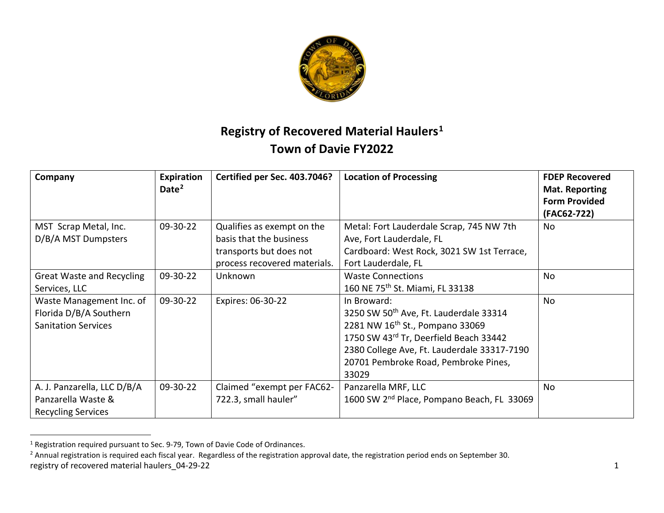<span id="page-0-1"></span><span id="page-0-0"></span>

## **Registry of Recovered Material Haulers[1](#page-0-0) Town of Davie FY2022**

| Company                                                                          | Expiration<br>Date <sup>2</sup> | Certified per Sec. 403.7046?                                                                                     | <b>Location of Processing</b>                                                                                                                                                                                                                  | <b>FDEP Recovered</b><br><b>Mat. Reporting</b><br><b>Form Provided</b> |
|----------------------------------------------------------------------------------|---------------------------------|------------------------------------------------------------------------------------------------------------------|------------------------------------------------------------------------------------------------------------------------------------------------------------------------------------------------------------------------------------------------|------------------------------------------------------------------------|
| MST Scrap Metal, Inc.<br>D/B/A MST Dumpsters                                     | 09-30-22                        | Qualifies as exempt on the<br>basis that the business<br>transports but does not<br>process recovered materials. | Metal: Fort Lauderdale Scrap, 745 NW 7th<br>Ave, Fort Lauderdale, FL<br>Cardboard: West Rock, 3021 SW 1st Terrace,<br>Fort Lauderdale, FL                                                                                                      | (FAC62-722)<br>No                                                      |
| <b>Great Waste and Recycling</b><br>Services, LLC                                | 09-30-22                        | Unknown                                                                                                          | <b>Waste Connections</b><br>160 NE 75 <sup>th</sup> St. Miami, FL 33138                                                                                                                                                                        | No                                                                     |
| Waste Management Inc. of<br>Florida D/B/A Southern<br><b>Sanitation Services</b> | 09-30-22                        | Expires: 06-30-22                                                                                                | In Broward:<br>3250 SW 50th Ave, Ft. Lauderdale 33314<br>2281 NW 16 <sup>th</sup> St., Pompano 33069<br>1750 SW 43rd Tr, Deerfield Beach 33442<br>2380 College Ave, Ft. Lauderdale 33317-7190<br>20701 Pembroke Road, Pembroke Pines,<br>33029 | No                                                                     |
| A. J. Panzarella, LLC D/B/A<br>Panzarella Waste &<br><b>Recycling Services</b>   | 09-30-22                        | Claimed "exempt per FAC62-<br>722.3, small hauler"                                                               | Panzarella MRF, LLC<br>1600 SW 2 <sup>nd</sup> Place, Pompano Beach, FL 33069                                                                                                                                                                  | No                                                                     |

<sup>&</sup>lt;sup>1</sup> Registration required pursuant to Sec. 9-79, Town of Davie Code of Ordinances.

registry of recovered material haulers\_04-29-22 1 and the state of the state of the state of the state of the state of the state of the state of the state of the state of the state of the state of the state of the state of <sup>2</sup> Annual registration is required each fiscal year. Regardless of the registration approval date, the registration period ends on September 30.